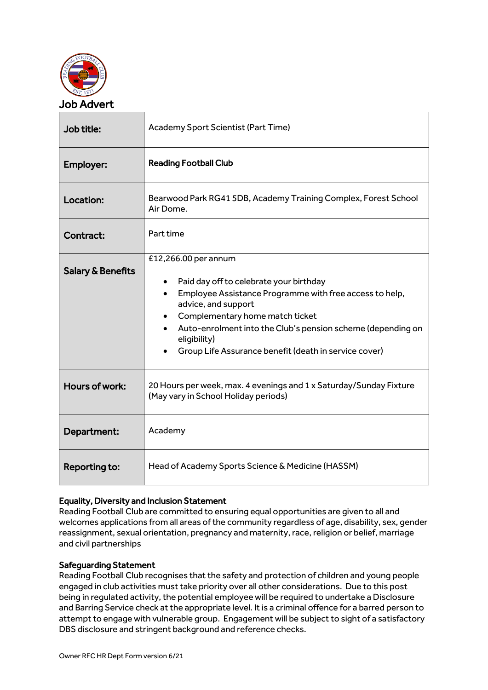

| Job title:                   | Academy Sport Scientist (Part Time)                                                                                                                                                                                                                                                                                                       |  |
|------------------------------|-------------------------------------------------------------------------------------------------------------------------------------------------------------------------------------------------------------------------------------------------------------------------------------------------------------------------------------------|--|
| Employer:                    | <b>Reading Football Club</b>                                                                                                                                                                                                                                                                                                              |  |
| Location:                    | Bearwood Park RG41 5DB, Academy Training Complex, Forest School<br>Air Dome.                                                                                                                                                                                                                                                              |  |
| Contract:                    | Part time                                                                                                                                                                                                                                                                                                                                 |  |
| <b>Salary &amp; Benefits</b> | £12,266.00 per annum<br>Paid day off to celebrate your birthday<br>Employee Assistance Programme with free access to help,<br>$\bullet$<br>advice, and support<br>Complementary home match ticket<br>Auto-enrolment into the Club's pension scheme (depending on<br>eligibility)<br>Group Life Assurance benefit (death in service cover) |  |
| Hours of work:               | 20 Hours per week, max. 4 evenings and 1 x Saturday/Sunday Fixture<br>(May vary in School Holiday periods)                                                                                                                                                                                                                                |  |
| Department:                  | Academy                                                                                                                                                                                                                                                                                                                                   |  |
| Reporting to:                | Head of Academy Sports Science & Medicine (HASSM)                                                                                                                                                                                                                                                                                         |  |

## Equality, Diversity and Inclusion Statement

Reading Football Club are committed to ensuring equal opportunities are given to all and welcomes applications from all areas of the community regardless of age, disability, sex, gender reassignment, sexual orientation, pregnancy and maternity, race, religion or belief, marriage and civil partnerships

## Safeguarding Statement

Reading Football Club recognises that the safety and protection of children and young people engaged in club activities must take priority over all other considerations. Due to this post being in regulated activity, the potential employee will be required to undertake a Disclosure and Barring Service check at the appropriate level. It is a criminal offence for a barred person to attempt to engage with vulnerable group. Engagement will be subject to sight of a satisfactory DBS disclosure and stringent background and reference checks.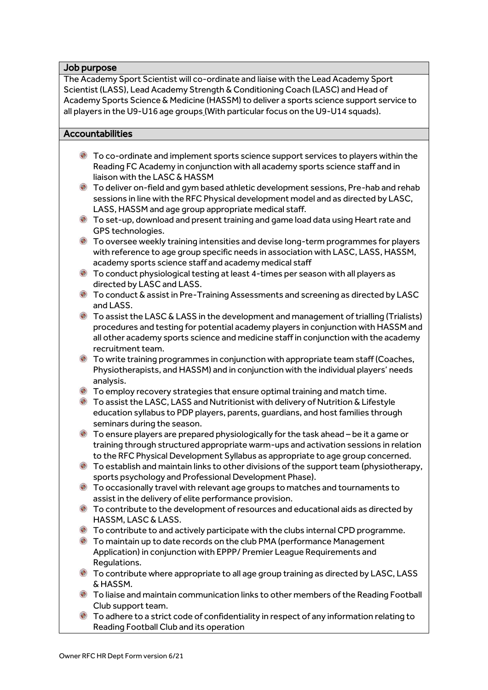### Job purpose

The Academy Sport Scientist will co-ordinate and liaise with the Lead Academy Sport Scientist (LASS), Lead Academy Strength & Conditioning Coach (LASC) and Head of Academy Sports Science & Medicine (HASSM) to deliver a sports science support service to all players in the U9-U16 age groups (With particular focus on the U9-U14 squads).

### Accountabilities

- To co-ordinate and implement sports science support services to players within the Reading FC Academy in conjunction with all academy sports science staff and in liaison with the LASC & HASSM
- To deliver on-field and gym based athletic development sessions, Pre-hab and rehab sessions in line with the RFC Physical development model and as directed by LASC, LASS, HASSM and age group appropriate medical staff.
- To set-up, download and present training and game load data using Heart rate and GPS technologies.
- To oversee weekly training intensities and devise long-term programmes for players with reference to age group specific needs in association with LASC, LASS, HASSM, academy sports science staff and academy medical staff
- To conduct physiological testing at least 4-times per season with all players as directed by LASC and LASS.
- To conduct & assist in Pre-Training Assessments and screening as directed by LASC and LASS.
- To assist the LASC & LASS in the development and management of trialling (Trialists) procedures and testing for potential academy players in conjunction with HASSM and all other academy sports science and medicine staff in conjunction with the academy recruitment team.
- To write training programmes in conjunction with appropriate team staff (Coaches, Physiotherapists, and HASSM) and in conjunction with the individual players' needs analysis.
- To employ recovery strategies that ensure optimal training and match time.
- To assist the LASC, LASS and Nutritionist with delivery of Nutrition & Lifestyle education syllabus to PDP players, parents, guardians, and host families through seminars during the season.
- To ensure players are prepared physiologically for the task ahead be it a game or training through structured appropriate warm-ups and activation sessions in relation to the RFC Physical Development Syllabus as appropriate to age group concerned.
- $\bullet$  To establish and maintain links to other divisions of the support team (physiotherapy, sports psychology and Professional Development Phase).
- To occasionally travel with relevant age groups to matches and tournaments to assist in the delivery of elite performance provision.
- $\bullet$  To contribute to the development of resources and educational aids as directed by HASSM, LASC & LASS.
- To contribute to and actively participate with the clubs internal CPD programme.
- To maintain up to date records on the club PMA (performance Management Application) in conjunction with EPPP/ Premier League Requirements and Regulations.
- To contribute where appropriate to all age group training as directed by LASC, LASS & HASSM.
- To liaise and maintain communication links to other members of the Reading Football Club support team.
- To adhere to a strict code of confidentiality in respect of any information relating to Reading Football Club and its operation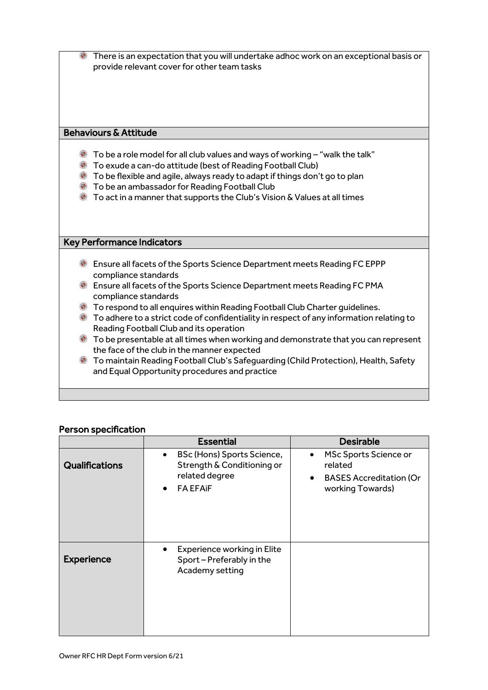| $\bigodot$                       | There is an expectation that you will undertake adhoc work on an exceptional basis or<br>provide relevant cover for other team tasks                                                                                                                                                                                                                              |  |  |  |
|----------------------------------|-------------------------------------------------------------------------------------------------------------------------------------------------------------------------------------------------------------------------------------------------------------------------------------------------------------------------------------------------------------------|--|--|--|
|                                  |                                                                                                                                                                                                                                                                                                                                                                   |  |  |  |
|                                  |                                                                                                                                                                                                                                                                                                                                                                   |  |  |  |
| <b>Behaviours &amp; Attitude</b> |                                                                                                                                                                                                                                                                                                                                                                   |  |  |  |
| ۱<br>۰<br>$\bigodot$             | $\bullet$ To be a role model for all club values and ways of working - "walk the talk"<br>• To exude a can-do attitude (best of Reading Football Club)<br>To be flexible and agile, always ready to adapt if things don't go to plan<br>To be an ambassador for Reading Football Club<br>To act in a manner that supports the Club's Vision & Values at all times |  |  |  |
|                                  |                                                                                                                                                                                                                                                                                                                                                                   |  |  |  |
|                                  | <b>Key Performance Indicators</b>                                                                                                                                                                                                                                                                                                                                 |  |  |  |
|                                  | Ensure all facets of the Sports Science Department meets Reading FC EPPP<br>compliance standards                                                                                                                                                                                                                                                                  |  |  |  |
|                                  | <b>Ensure all facets of the Sports Science Department meets Reading FC PMA</b><br>compliance standards                                                                                                                                                                                                                                                            |  |  |  |
|                                  | <b>C</b> To respond to all enquires within Reading Football Club Charter guidelines.                                                                                                                                                                                                                                                                              |  |  |  |
|                                  | lack To adhere to a strict code of confidentiality in respect of any information relating to<br>Reading Football Club and its operation                                                                                                                                                                                                                           |  |  |  |
|                                  | <b>C</b> To be presentable at all times when working and demonstrate that you can represent<br>the face of the club in the manner expected                                                                                                                                                                                                                        |  |  |  |
| ۱                                | To maintain Reading Football Club's Safeguarding (Child Protection), Health, Safety<br>and Equal Opportunity procedures and practice                                                                                                                                                                                                                              |  |  |  |
|                                  |                                                                                                                                                                                                                                                                                                                                                                   |  |  |  |

# Person specification

|                   | <b>Essential</b>                                                                                                        | <b>Desirable</b>                                                                                                 |
|-------------------|-------------------------------------------------------------------------------------------------------------------------|------------------------------------------------------------------------------------------------------------------|
| Qualifications    | BSc (Hons) Sports Science,<br>$\bullet$<br>Strength & Conditioning or<br>related degree<br><b>FA EFAIF</b><br>$\bullet$ | MSc Sports Science or<br>$\bullet$<br>related<br><b>BASES Accreditation (Or</b><br>$\bullet$<br>working Towards) |
| <b>Experience</b> | <b>Experience working in Elite</b><br>Sport - Preferably in the<br>Academy setting                                      |                                                                                                                  |